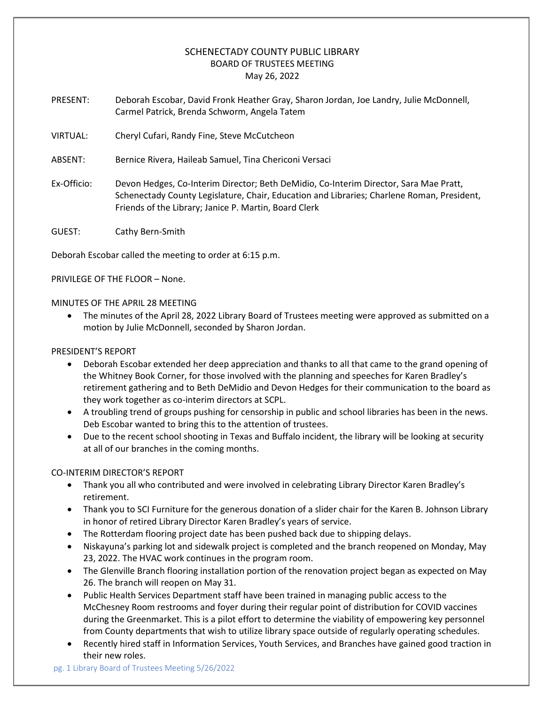# SCHENECTADY COUNTY PUBLIC LIBRARY BOARD OF TRUSTEES MEETING May 26, 2022

PRESENT: Deborah Escobar, David Fronk Heather Gray, Sharon Jordan, Joe Landry, Julie McDonnell, Carmel Patrick, Brenda Schworm, Angela Tatem

- VIRTUAL: Cheryl Cufari, Randy Fine, Steve McCutcheon
- ABSENT: Bernice Rivera, Haileab Samuel, Tina Chericoni Versaci
- Ex-Officio: Devon Hedges, Co-Interim Director; Beth DeMidio, Co-Interim Director, Sara Mae Pratt, Schenectady County Legislature, Chair, Education and Libraries; Charlene Roman, President, Friends of the Library; Janice P. Martin, Board Clerk

GUEST: Cathy Bern-Smith

Deborah Escobar called the meeting to order at 6:15 p.m.

PRIVILEGE OF THE FLOOR – None.

#### MINUTES OF THE APRIL 28 MEETING

• The minutes of the April 28, 2022 Library Board of Trustees meeting were approved as submitted on a motion by Julie McDonnell, seconded by Sharon Jordan.

#### PRESIDENT'S REPORT

- Deborah Escobar extended her deep appreciation and thanks to all that came to the grand opening of the Whitney Book Corner, for those involved with the planning and speeches for Karen Bradley's retirement gathering and to Beth DeMidio and Devon Hedges for their communication to the board as they work together as co-interim directors at SCPL.
- A troubling trend of groups pushing for censorship in public and school libraries has been in the news. Deb Escobar wanted to bring this to the attention of trustees.
- Due to the recent school shooting in Texas and Buffalo incident, the library will be looking at security at all of our branches in the coming months.

#### CO-INTERIM DIRECTOR'S REPORT

- Thank you all who contributed and were involved in celebrating Library Director Karen Bradley's retirement.
- Thank you to SCI Furniture for the generous donation of a slider chair for the Karen B. Johnson Library in honor of retired Library Director Karen Bradley's years of service.
- The Rotterdam flooring project date has been pushed back due to shipping delays.
- Niskayuna's parking lot and sidewalk project is completed and the branch reopened on Monday, May 23, 2022. The HVAC work continues in the program room.
- The Glenville Branch flooring installation portion of the renovation project began as expected on May 26. The branch will reopen on May 31.
- Public Health Services Department staff have been trained in managing public access to the McChesney Room restrooms and foyer during their regular point of distribution for COVID vaccines during the Greenmarket. This is a pilot effort to determine the viability of empowering key personnel from County departments that wish to utilize library space outside of regularly operating schedules.
- Recently hired staff in Information Services, Youth Services, and Branches have gained good traction in their new roles.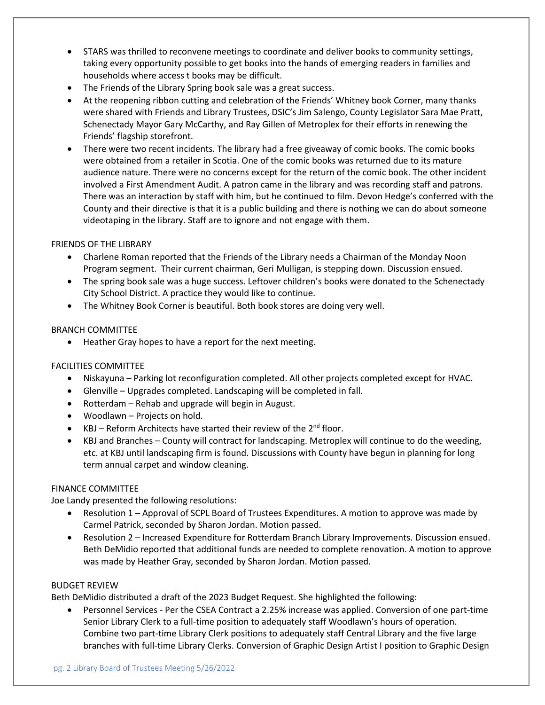- STARS was thrilled to reconvene meetings to coordinate and deliver books to community settings, taking every opportunity possible to get books into the hands of emerging readers in families and households where access t books may be difficult.
- The Friends of the Library Spring book sale was a great success.
- At the reopening ribbon cutting and celebration of the Friends' Whitney book Corner, many thanks were shared with Friends and Library Trustees, DSIC's Jim Salengo, County Legislator Sara Mae Pratt, Schenectady Mayor Gary McCarthy, and Ray Gillen of Metroplex for their efforts in renewing the Friends' flagship storefront.
- There were two recent incidents. The library had a free giveaway of comic books. The comic books were obtained from a retailer in Scotia. One of the comic books was returned due to its mature audience nature. There were no concerns except for the return of the comic book. The other incident involved a First Amendment Audit. A patron came in the library and was recording staff and patrons. There was an interaction by staff with him, but he continued to film. Devon Hedge's conferred with the County and their directive is that it is a public building and there is nothing we can do about someone videotaping in the library. Staff are to ignore and not engage with them.

# FRIENDS OF THE LIBRARY

- Charlene Roman reported that the Friends of the Library needs a Chairman of the Monday Noon Program segment. Their current chairman, Geri Mulligan, is stepping down. Discussion ensued.
- The spring book sale was a huge success. Leftover children's books were donated to the Schenectady City School District. A practice they would like to continue.
- The Whitney Book Corner is beautiful. Both book stores are doing very well.

## BRANCH COMMITTEE

• Heather Gray hopes to have a report for the next meeting.

## FACILITIES COMMITTEE

- Niskayuna Parking lot reconfiguration completed. All other projects completed except for HVAC.
- Glenville Upgrades completed. Landscaping will be completed in fall.
- Rotterdam Rehab and upgrade will begin in August.
- Woodlawn Projects on hold.
- KBJ Reform Architects have started their review of the  $2^{nd}$  floor.
- KBJ and Branches County will contract for landscaping. Metroplex will continue to do the weeding, etc. at KBJ until landscaping firm is found. Discussions with County have begun in planning for long term annual carpet and window cleaning.

## FINANCE COMMITTEE

Joe Landy presented the following resolutions:

- Resolution 1 Approval of SCPL Board of Trustees Expenditures. A motion to approve was made by Carmel Patrick, seconded by Sharon Jordan. Motion passed.
- Resolution 2 Increased Expenditure for Rotterdam Branch Library Improvements. Discussion ensued. Beth DeMidio reported that additional funds are needed to complete renovation. A motion to approve was made by Heather Gray, seconded by Sharon Jordan. Motion passed.

## BUDGET REVIEW

Beth DeMidio distributed a draft of the 2023 Budget Request. She highlighted the following:

• Personnel Services - Per the CSEA Contract a 2.25% increase was applied. Conversion of one part-time Senior Library Clerk to a full-time position to adequately staff Woodlawn's hours of operation. Combine two part-time Library Clerk positions to adequately staff Central Library and the five large branches with full-time Library Clerks. Conversion of Graphic Design Artist I position to Graphic Design